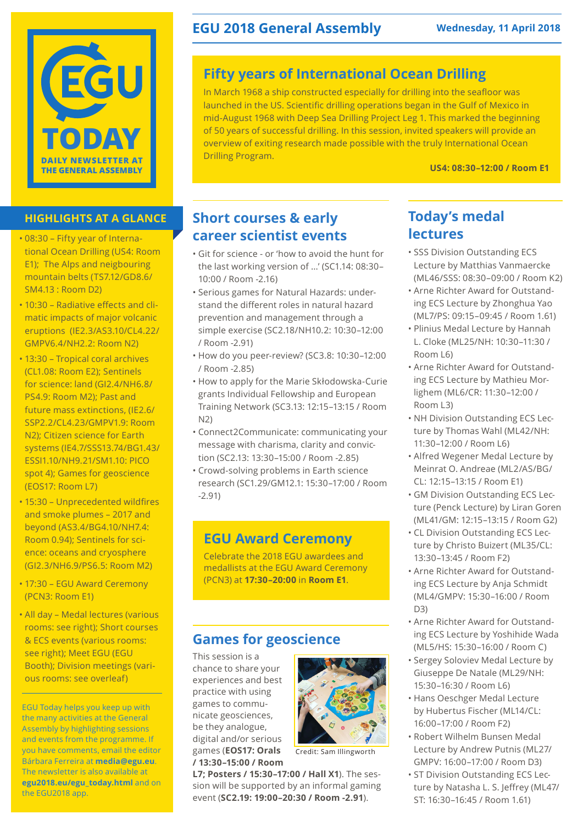

#### **HIGHLIGHTS AT A GLANCE**

- 08:30 Fifty year of International Ocean Drilling (US4: Room E1); The Alps and neigbouring mountain belts (TS7.12/GD8.6/ SM4.13 : Room D2)
- 10:30 Radiative effects and climatic impacts of major volcanic eruptions (IE2.3/AS3.10/CL4.22/ GMPV6.4/NH2.2: Room N2)
- 13:30 Tropical coral archives (CL1.08: Room E2); Sentinels for science: land (GI2.4/NH6.8/ PS4.9: Room M2); Past and future mass extinctions, (IE2.6/ SSP2.2/CL4.23/GMPV1.9: Room N2); Citizen science for Earth systems (IE4.7/SSS13.74/BG1.43/ ESSI1.10/NH9.21/SM1.10: PICO spot 4); Games for geoscience (EOS17: Room L7)
- 15:30 Unprecedented wildfires and smoke plumes – 2017 and beyond (AS3.4/BG4.10/NH7.4: Room 0.94); Sentinels for science: oceans and cryosphere (GI2.3/NH6.9/PS6.5: Room M2)
- 17:30 EGU Award Ceremony (PCN3: Room E1)
- All day Medal lectures (various rooms: see right); Short courses & ECS events (various rooms: see right); Meet EGU (EGU Booth); Division meetings (various rooms: see overleaf)

EGU Today helps you keep up with the many activities at the General Assembly by highlighting sessions and events from the programme. If you have comments, email the editor Bárbara Ferreira at **media@egu.eu**. The newsletter is also available at **egu2018.eu/egu\_today.html** and on the EGU2018 app.

### **EGU 2018 General Assembly Wednesday, 11 April 2018**

### **Fifty years of International Ocean Drilling**

In March 1968 a ship constructed especially for drilling into the seafloor was launched in the US. Scientific drilling operations began in the Gulf of Mexico in mid-August 1968 with Deep Sea Drilling Project Leg 1. This marked the beginning of 50 years of successful drilling. In this session, invited speakers will provide an overview of exiting research made possible with the truly International Ocean Drilling Program.

**US4: 08:30–12:00 / Room E1**

### **Short courses & early career scientist events**

- Git for science or 'how to avoid the hunt for the last working version of ...' (SC1.14: 08:30– 10:00 / Room -2.16)
- Serious games for Natural Hazards: understand the different roles in natural hazard prevention and management through a simple exercise (SC2.18/NH10.2: 10:30–12:00 / Room -2.91)
- How do you peer-review? (SC3.8: 10:30–12:00 / Room -2.85)
- How to apply for the Marie Skłodowska-Curie grants Individual Fellowship and European Training Network (SC3.13: 12:15–13:15 / Room N2)
- Connect2Communicate: communicating your message with charisma, clarity and conviction (SC2.13: 13:30–15:00 / Room -2.85)
- Crowd-solving problems in Earth science research (SC1.29/GM12.1: 15:30–17:00 / Room -2.91)

### **EGU Award Ceremony**

Celebrate the 2018 EGU awardees and medallists at the EGU Award Ceremony (PCN3) at **17:30–20:00** in **Room E1**.

### **Games for geoscience**

This session is a chance to share your experiences and best practice with using games to communicate geosciences, be they analogue, digital and/or serious games (**EOS17: Orals / 13:30–15:00 / Room** 



Credit: Sam Illingworth

**L7; Posters / 15:30–17:00 / Hall X1**). The session will be supported by an informal gaming event (**SC2.19: 19:00–20:30 / Room -2.91**).

### **Today's medal lectures**

- SSS Division Outstanding ECS Lecture by Matthias Vanmaercke (ML46/SSS: 08:30–09:00 / Room K2)
- Arne Richter Award for Outstanding ECS Lecture by Zhonghua Yao (ML7/PS: 09:15–09:45 / Room 1.61)
- Plinius Medal Lecture by Hannah L. Cloke (ML25/NH: 10:30–11:30 / Room L6)
- Arne Richter Award for Outstanding ECS Lecture by Mathieu Morlighem (ML6/CR: 11:30–12:00 / Room L3)
- NH Division Outstanding ECS Lecture by Thomas Wahl (ML42/NH: 11:30–12:00 / Room L6)
- Alfred Wegener Medal Lecture by Meinrat O. Andreae (ML2/AS/BG/ CL: 12:15–13:15 / Room E1)
- GM Division Outstanding ECS Lecture (Penck Lecture) by Liran Goren (ML41/GM: 12:15–13:15 / Room G2)
- CL Division Outstanding ECS Lecture by Christo Buizert (ML35/CL: 13:30–13:45 / Room F2)
- Arne Richter Award for Outstanding ECS Lecture by Anja Schmidt (ML4/GMPV: 15:30–16:00 / Room  $D3)$
- Arne Richter Award for Outstanding ECS Lecture by Yoshihide Wada (ML5/HS: 15:30–16:00 / Room C)
- Sergey Soloviev Medal Lecture by Giuseppe De Natale (ML29/NH: 15:30–16:30 / Room L6)
- Hans Oeschger Medal Lecture by Hubertus Fischer (ML14/CL: 16:00–17:00 / Room F2)
- Robert Wilhelm Bunsen Medal Lecture by Andrew Putnis (ML27/ GMPV: 16:00–17:00 / Room D3)
- ST Division Outstanding ECS Lecture by Natasha L. S. Jeffrey (ML47/ ST: 16:30–16:45 / Room 1.61)